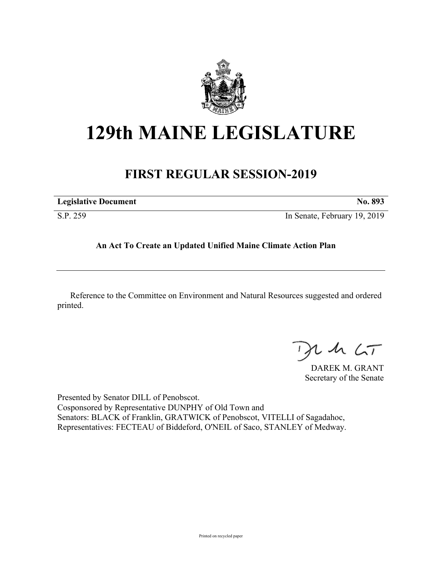

# **129th MAINE LEGISLATURE**

## **FIRST REGULAR SESSION-2019**

| <b>Legislative Document</b> | No. 893                      |
|-----------------------------|------------------------------|
| S.P. 259                    | In Senate, February 19, 2019 |

### **An Act To Create an Updated Unified Maine Climate Action Plan**

Reference to the Committee on Environment and Natural Resources suggested and ordered printed.

 $425$ 

DAREK M. GRANT Secretary of the Senate

Presented by Senator DILL of Penobscot. Cosponsored by Representative DUNPHY of Old Town and Senators: BLACK of Franklin, GRATWICK of Penobscot, VITELLI of Sagadahoc, Representatives: FECTEAU of Biddeford, O'NEIL of Saco, STANLEY of Medway.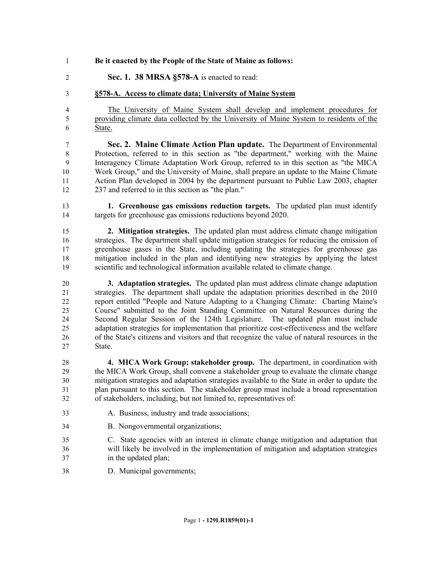#### **Be it enacted by the People of the State of Maine as follows:**

**Sec. 1. 38 MRSA §578-A** is enacted to read:

#### **§578-A. Access to climate data; University of Maine System**

 The University of Maine System shall develop and implement procedures for providing climate data collected by the University of Maine System to residents of the State.

 **Sec. 2. Maine Climate Action Plan update.** The Department of Environmental Protection, referred to in this section as "the department," working with the Maine Interagency Climate Adaptation Work Group, referred to in this section as "the MICA Work Group," and the University of Maine, shall prepare an update to the Maine Climate Action Plan developed in 2004 by the department pursuant to Public Law 2003, chapter 237 and referred to in this section as "the plan."

 **1. Greenhouse gas emissions reduction targets.** The updated plan must identify targets for greenhouse gas emissions reductions beyond 2020.

 **2. Mitigation strategies.** The updated plan must address climate change mitigation strategies. The department shall update mitigation strategies for reducing the emission of greenhouse gases in the State, including updating the strategies for greenhouse gas mitigation included in the plan and identifying new strategies by applying the latest scientific and technological information available related to climate change.

 **3. Adaptation strategies.** The updated plan must address climate change adaptation strategies. The department shall update the adaptation priorities described in the 2010 report entitled "People and Nature Adapting to a Changing Climate: Charting Maine's Course" submitted to the Joint Standing Committee on Natural Resources during the Second Regular Session of the 124th Legislature. The updated plan must include adaptation strategies for implementation that prioritize cost-effectiveness and the welfare of the State's citizens and visitors and that recognize the value of natural resources in the State.

 **4. MICA Work Group; stakeholder group.** The department, in coordination with the MICA Work Group, shall convene a stakeholder group to evaluate the climate change mitigation strategies and adaptation strategies available to the State in order to update the plan pursuant to this section. The stakeholder group must include a broad representation of stakeholders, including, but not limited to, representatives of:

- A. Business, industry and trade associations;
- B. Nongovernmental organizations;
- C. State agencies with an interest in climate change mitigation and adaptation that will likely be involved in the implementation of mitigation and adaptation strategies in the updated plan;
- D. Municipal governments;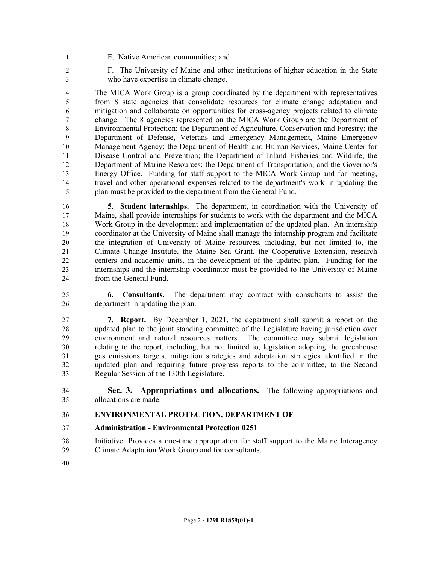- E. Native American communities; and
- F. The University of Maine and other institutions of higher education in the State who have expertise in climate change.

 The MICA Work Group is a group coordinated by the department with representatives from 8 state agencies that consolidate resources for climate change adaptation and mitigation and collaborate on opportunities for cross-agency projects related to climate change. The 8 agencies represented on the MICA Work Group are the Department of Environmental Protection; the Department of Agriculture, Conservation and Forestry; the Department of Defense, Veterans and Emergency Management, Maine Emergency Management Agency; the Department of Health and Human Services, Maine Center for Disease Control and Prevention; the Department of Inland Fisheries and Wildlife; the Department of Marine Resources; the Department of Transportation; and the Governor's Energy Office. Funding for staff support to the MICA Work Group and for meeting, travel and other operational expenses related to the department's work in updating the plan must be provided to the department from the General Fund.

 **5. Student internships.** The department, in coordination with the University of Maine, shall provide internships for students to work with the department and the MICA Work Group in the development and implementation of the updated plan. An internship coordinator at the University of Maine shall manage the internship program and facilitate the integration of University of Maine resources, including, but not limited to, the Climate Change Institute, the Maine Sea Grant, the Cooperative Extension, research centers and academic units, in the development of the updated plan. Funding for the internships and the internship coordinator must be provided to the University of Maine from the General Fund.

 **6. Consultants.** The department may contract with consultants to assist the department in updating the plan.

 **7. Report.** By December 1, 2021, the department shall submit a report on the updated plan to the joint standing committee of the Legislature having jurisdiction over environment and natural resources matters. The committee may submit legislation relating to the report, including, but not limited to, legislation adopting the greenhouse gas emissions targets, mitigation strategies and adaptation strategies identified in the updated plan and requiring future progress reports to the committee, to the Second Regular Session of the 130th Legislature.

 **Sec. 3. Appropriations and allocations.** The following appropriations and allocations are made.

#### **ENVIRONMENTAL PROTECTION, DEPARTMENT OF**

- **Administration Environmental Protection 0251**
- Initiative: Provides a one-time appropriation for staff support to the Maine Interagency Climate Adaptation Work Group and for consultants.
-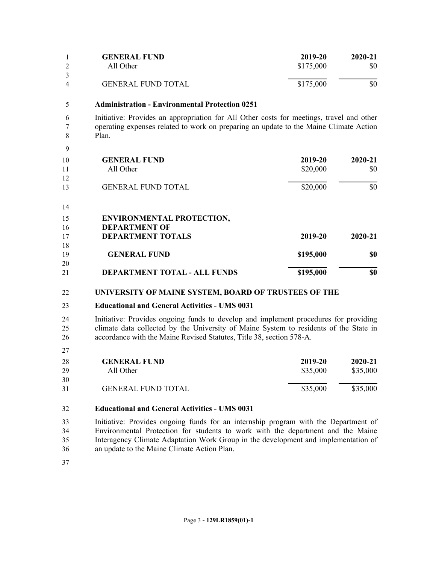|   | <b>GENERAL FUND</b>       | 2019-20   | $2020 - 21$ |
|---|---------------------------|-----------|-------------|
|   | All Other                 | \$175,000 | \$0         |
| 4 | <b>GENERAL FUND TOTAL</b> | \$175,000 | \$0         |

#### **Administration - Environmental Protection 0251**

 Initiative: Provides an appropriation for All Other costs for meetings, travel and other operating expenses related to work on preparing an update to the Maine Climate Action Plan.

 

| 10<br>11 | <b>GENERAL FUND</b><br>All Other | 2019-20<br>\$20,000 | 2020-21<br>\$0 |
|----------|----------------------------------|---------------------|----------------|
| 12<br>13 | <b>GENERAL FUND TOTAL</b>        | \$20,000            | \$0            |
| 14       |                                  |                     |                |

#### **ENVIRONMENTAL PROTECTION, DEPARTMENT OF DEPARTMENT TOTALS 2019-20 2020-21 GENERAL FUND \$195,000 \$0**

#### **UNIVERSITY OF MAINE SYSTEM, BOARD OF TRUSTEES OF THE**

#### **Educational and General Activities - UMS 0031**

 Initiative: Provides ongoing funds to develop and implement procedures for providing climate data collected by the University of Maine System to residents of the State in accordance with the Maine Revised Statutes, Title 38, section 578-A.

**DEPARTMENT TOTAL - ALL FUNDS \$195,000 \$0**

| 28 | <b>GENERAL FUND</b>       | 2019-20  | $2020 - 21$ |
|----|---------------------------|----------|-------------|
| 29 | All Other                 | \$35,000 | \$35,000    |
| 30 |                           |          |             |
| 31 | <b>GENERAL FUND TOTAL</b> | \$35,000 | \$35,000    |

#### **Educational and General Activities - UMS 0031**

 Initiative: Provides ongoing funds for an internship program with the Department of Environmental Protection for students to work with the department and the Maine Interagency Climate Adaptation Work Group in the development and implementation of an update to the Maine Climate Action Plan.